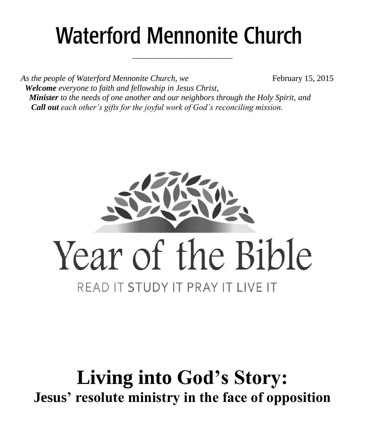# **Waterford Mennonite Church**

\_\_\_\_\_\_\_\_\_\_\_\_\_\_\_\_\_\_\_\_\_\_\_\_

As the people of Waterford Mennonite Church, we February 15, 2015  *Welcome everyone to faith and fellowship in Jesus Christ, Minister to the needs of one another and our neighbors through the Holy Spirit, and Call out each other's gifts for the joyful work of God's reconciling mission.*



# **Living into God's Story: Jesus' resolute ministry in the face of opposition**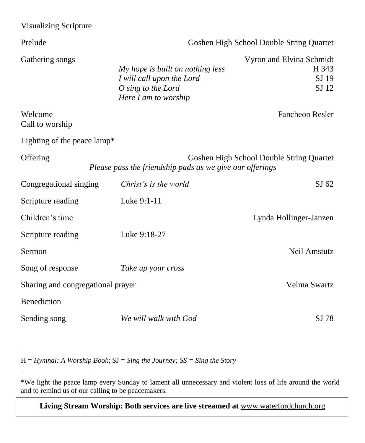| <b>Visualizing Scripture</b>                                                                                     |                                                                                                             |                                                     |  |
|------------------------------------------------------------------------------------------------------------------|-------------------------------------------------------------------------------------------------------------|-----------------------------------------------------|--|
| Prelude                                                                                                          | Goshen High School Double String Quartet                                                                    |                                                     |  |
| Gathering songs                                                                                                  | My hope is built on nothing less<br>I will call upon the Lord<br>O sing to the Lord<br>Here I am to worship | Vyron and Elvina Schmidt<br>H 343<br>SJ 19<br>SJ 12 |  |
| Welcome<br>Call to worship                                                                                       |                                                                                                             | <b>Fancheon Resler</b>                              |  |
| Lighting of the peace lamp*                                                                                      |                                                                                                             |                                                     |  |
| Offering<br>Goshen High School Double String Quartet<br>Please pass the friendship pads as we give our offerings |                                                                                                             |                                                     |  |
| Congregational singing                                                                                           | Christ's is the world                                                                                       | SJ 62                                               |  |
| Scripture reading                                                                                                | Luke 9:1-11                                                                                                 |                                                     |  |
| Children's time                                                                                                  |                                                                                                             | Lynda Hollinger-Janzen                              |  |
| Scripture reading                                                                                                | Luke 9:18-27                                                                                                |                                                     |  |
| Sermon                                                                                                           |                                                                                                             | Neil Amstutz                                        |  |
| Song of response                                                                                                 | Take up your cross                                                                                          |                                                     |  |
| Sharing and congregational prayer                                                                                |                                                                                                             | Velma Swartz                                        |  |
| Benediction                                                                                                      |                                                                                                             |                                                     |  |
| Sending song                                                                                                     | We will walk with God                                                                                       | SJ 78                                               |  |

H = *Hymnal: A Worship Book*; SJ = *Sing the Journey; SS = Sing the Story*

**Living Stream Worship: Both services are live streamed at** [www.waterfordchurch.org](http://www.waterfordchurch.org/)

<sup>\*</sup>We light the peace lamp every Sunday to lament all unnecessary and violent loss of life around the world and to remind us of our calling to be peacemakers.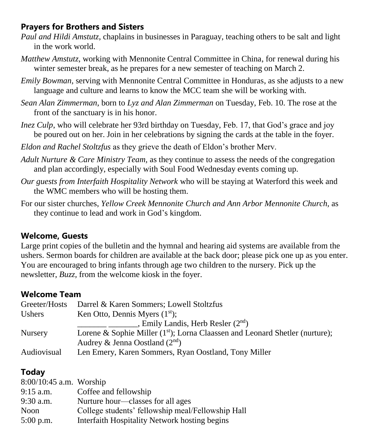### **Prayers for Brothers and Sisters**

- *Paul and Hildi Amstutz*, chaplains in businesses in Paraguay, teaching others to be salt and light in the work world.
- *Matthew Amstutz*, working with Mennonite Central Committee in China, for renewal during his winter semester break, as he prepares for a new semester of teaching on March 2.
- *Emily Bowman,* serving with Mennonite Central Committee in Honduras, as she adjusts to a new language and culture and learns to know the MCC team she will be working with.
- *Sean Alan Zimmerman*, born to *Lyz and Alan Zimmerman* on Tuesday, Feb. 10. The rose at the front of the sanctuary is in his honor.
- *Inez Culp*, who will celebrate her 93rd birthday on Tuesday, Feb. 17, that God's grace and joy be poured out on her. Join in her celebrations by signing the cards at the table in the foyer.

*Eldon and Rachel Stoltzfus* as they grieve the death of Eldon's brother Merv.

- *Adult Nurture & Care Ministry Team,* as they continue to assess the needs of the congregation and plan accordingly, especially with Soul Food Wednesday events coming up.
- *Our guests from Interfaith Hospitality Network* who will be staying at Waterford this week and the WMC members who will be hosting them.
- For our sister churches, *Yellow Creek Mennonite Church and Ann Arbor Mennonite Church,* as they continue to lead and work in God's kingdom.

## **Welcome, Guests**

Large print copies of the bulletin and the hymnal and hearing aid systems are available from the ushers. Sermon boards for children are available at the back door; please pick one up as you enter. You are encouraged to bring infants through age two children to the nursery. Pick up the newsletter, *Buzz,* from the welcome kiosk in the foyer.

#### **Welcome Team**

| Greeter/Hosts  | Darrel & Karen Sommers; Lowell Stoltzfus                                       |
|----------------|--------------------------------------------------------------------------------|
| <b>Ushers</b>  | Ken Otto, Dennis Myers $(1st)$ ;                                               |
|                | , Emily Landis, Herb Resler $(2^{nd})$                                         |
| <b>Nursery</b> | Lorene & Sophie Miller $(1st)$ ; Lorna Claassen and Leonard Shetler (nurture); |
|                | Audrey & Jenna Oostland $(2^{nd})$                                             |
| Audiovisual    | Len Emery, Karen Sommers, Ryan Oostland, Tony Miller                           |

# **Today**

| $8:00/10:45$ a.m. Worship |                                                   |
|---------------------------|---------------------------------------------------|
| $9:15$ a.m.               | Coffee and fellowship                             |
| $9:30$ a.m.               | Nurture hour—classes for all ages                 |
| Noon                      | College students' fellowship meal/Fellowship Hall |
| $5:00$ p.m.               | Interfaith Hospitality Network hosting begins     |